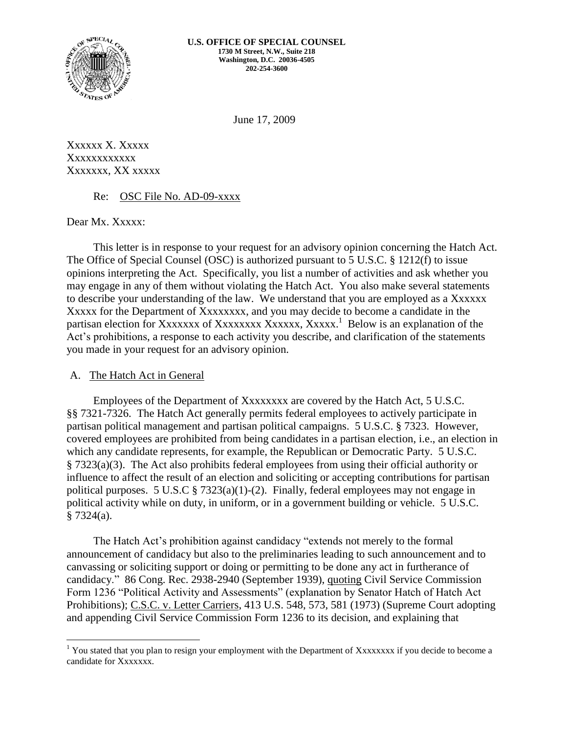

June 17, 2009

Xxxxxx X. Xxxxx Xxxxxxxxxxx Xxxxxxx, XX xxxxx

#### Re: OSC File No. AD-09-xxxx

Dear Mx. Xxxxx:

This letter is in response to your request for an advisory opinion concerning the Hatch Act. The Office of Special Counsel (OSC) is authorized pursuant to 5 U.S.C. § 1212(f) to issue opinions interpreting the Act. Specifically, you list a number of activities and ask whether you may engage in any of them without violating the Hatch Act. You also make several statements to describe your understanding of the law. We understand that you are employed as a Xxxxxx XXXXX for the Department of XXXXXXXX, and you may decide to become a candidate in the partisan election for Xxxxxxx of Xxxxxxxx Xxxxxx, Xxxxx.<sup>1</sup> Below is an explanation of the Act's prohibitions, a response to each activity you describe, and clarification of the statements you made in your request for an advisory opinion.

#### A. The Hatch Act in General

Employees of the Department of Xxxxxxxx are covered by the Hatch Act, 5 U.S.C. §§ 7321-7326. The Hatch Act generally permits federal employees to actively participate in partisan political management and partisan political campaigns. 5 U.S.C. § 7323. However, covered employees are prohibited from being candidates in a partisan election, i.e., an election in which any candidate represents, for example, the Republican or Democratic Party. 5 U.S.C. § 7323(a)(3). The Act also prohibits federal employees from using their official authority or influence to affect the result of an election and soliciting or accepting contributions for partisan political purposes. 5 U.S.C § 7323(a)(1)-(2). Finally, federal employees may not engage in political activity while on duty, in uniform, or in a government building or vehicle. 5 U.S.C. § 7324(a).

The Hatch Act's prohibition against candidacy "extends not merely to the formal announcement of candidacy but also to the preliminaries leading to such announcement and to canvassing or soliciting support or doing or permitting to be done any act in furtherance of candidacy." 86 Cong. Rec. 2938-2940 (September 1939), quoting Civil Service Commission Form 1236 "Political Activity and Assessments" (explanation by Senator Hatch of Hatch Act Prohibitions); C.S.C. v. Letter Carriers, 413 U.S. 548, 573, 581 (1973) (Supreme Court adopting and appending Civil Service Commission Form 1236 to its decision, and explaining that

 $\overline{a}$ <sup>1</sup> You stated that you plan to resign your employment with the Department of Xxxxxxxx if you decide to become a candidate for Xxxxxxx.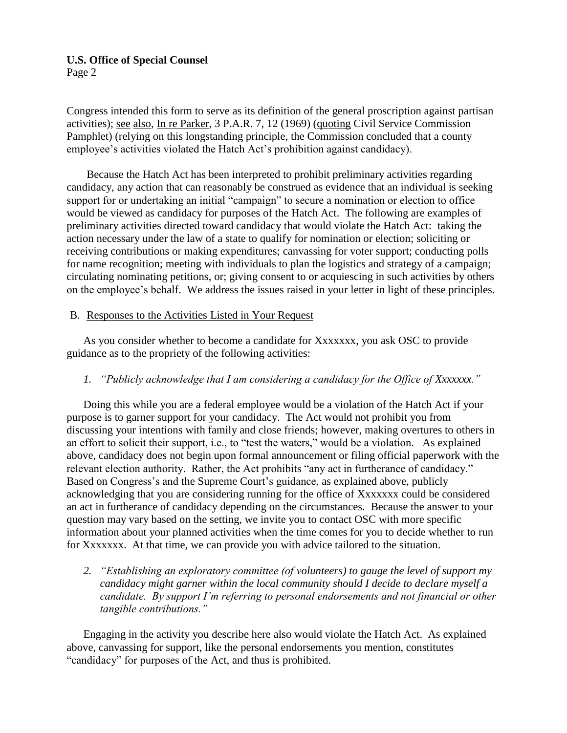# **U.S. Office of Special Counsel**

Page 2

Congress intended this form to serve as its definition of the general proscription against partisan activities); see also, In re Parker, 3 P.A.R. 7, 12 (1969) (quoting Civil Service Commission Pamphlet) (relying on this longstanding principle, the Commission concluded that a county employee's activities violated the Hatch Act's prohibition against candidacy).

Because the Hatch Act has been interpreted to prohibit preliminary activities regarding candidacy, any action that can reasonably be construed as evidence that an individual is seeking support for or undertaking an initial "campaign" to secure a nomination or election to office would be viewed as candidacy for purposes of the Hatch Act. The following are examples of preliminary activities directed toward candidacy that would violate the Hatch Act: taking the action necessary under the law of a state to qualify for nomination or election; soliciting or receiving contributions or making expenditures; canvassing for voter support; conducting polls for name recognition; meeting with individuals to plan the logistics and strategy of a campaign; circulating nominating petitions, or; giving consent to or acquiescing in such activities by others on the employee's behalf. We address the issues raised in your letter in light of these principles.

## B. Responses to the Activities Listed in Your Request

As you consider whether to become a candidate for Xxxxxxx, you ask OSC to provide guidance as to the propriety of the following activities:

# *1. "Publicly acknowledge that I am considering a candidacy for the Office of Xxxxxxx."*

Doing this while you are a federal employee would be a violation of the Hatch Act if your purpose is to garner support for your candidacy. The Act would not prohibit you from discussing your intentions with family and close friends; however, making overtures to others in an effort to solicit their support, i.e., to "test the waters," would be a violation. As explained above, candidacy does not begin upon formal announcement or filing official paperwork with the relevant election authority. Rather, the Act prohibits "any act in furtherance of candidacy." Based on Congress's and the Supreme Court's guidance, as explained above, publicly acknowledging that you are considering running for the office of Xxxxxxx could be considered an act in furtherance of candidacy depending on the circumstances. Because the answer to your question may vary based on the setting, we invite you to contact OSC with more specific information about your planned activities when the time comes for you to decide whether to run for Xxxxxxx. At that time, we can provide you with advice tailored to the situation.

*2. "Establishing an exploratory committee (of volunteers) to gauge the level of support my candidacy might garner within the local community should I decide to declare myself a candidate. By support I'm referring to personal endorsements and not financial or other tangible contributions."*

Engaging in the activity you describe here also would violate the Hatch Act. As explained above, canvassing for support, like the personal endorsements you mention, constitutes "candidacy" for purposes of the Act, and thus is prohibited.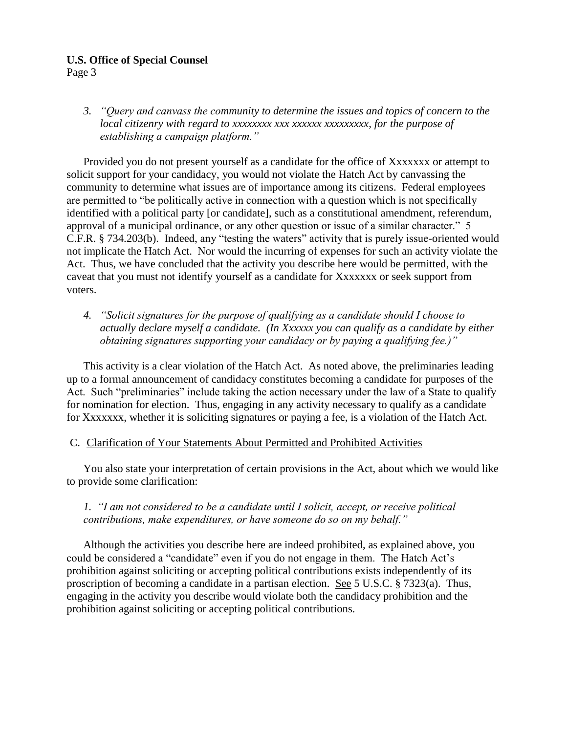#### **U.S. Office of Special Counsel**

Page 3

*3. "Query and canvass the community to determine the issues and topics of concern to the local citizenry with regard to xxxxxxxx xxx xxxxxx xxxxxxxxx, for the purpose of establishing a campaign platform."*

Provided you do not present yourself as a candidate for the office of Xxxxxxx or attempt to solicit support for your candidacy, you would not violate the Hatch Act by canvassing the community to determine what issues are of importance among its citizens. Federal employees are permitted to "be politically active in connection with a question which is not specifically identified with a political party [or candidate], such as a constitutional amendment, referendum, approval of a municipal ordinance, or any other question or issue of a similar character." 5 C.F.R. § 734.203(b). Indeed, any "testing the waters" activity that is purely issue-oriented would not implicate the Hatch Act. Nor would the incurring of expenses for such an activity violate the Act. Thus, we have concluded that the activity you describe here would be permitted, with the caveat that you must not identify yourself as a candidate for Xxxxxxx or seek support from voters.

*4. "Solicit signatures for the purpose of qualifying as a candidate should I choose to actually declare myself a candidate. (In Xxxxxx you can qualify as a candidate by either obtaining signatures supporting your candidacy or by paying a qualifying fee.)"*

This activity is a clear violation of the Hatch Act. As noted above, the preliminaries leading up to a formal announcement of candidacy constitutes becoming a candidate for purposes of the Act. Such "preliminaries" include taking the action necessary under the law of a State to qualify for nomination for election. Thus, engaging in any activity necessary to qualify as a candidate for Xxxxxxx, whether it is soliciting signatures or paying a fee, is a violation of the Hatch Act.

# C. Clarification of Your Statements About Permitted and Prohibited Activities

You also state your interpretation of certain provisions in the Act, about which we would like to provide some clarification:

# *1. "I am not considered to be a candidate until I solicit, accept, or receive political contributions, make expenditures, or have someone do so on my behalf."*

Although the activities you describe here are indeed prohibited, as explained above, you could be considered a "candidate" even if you do not engage in them. The Hatch Act's prohibition against soliciting or accepting political contributions exists independently of its proscription of becoming a candidate in a partisan election. See 5 U.S.C. § 7323(a). Thus, engaging in the activity you describe would violate both the candidacy prohibition and the prohibition against soliciting or accepting political contributions.